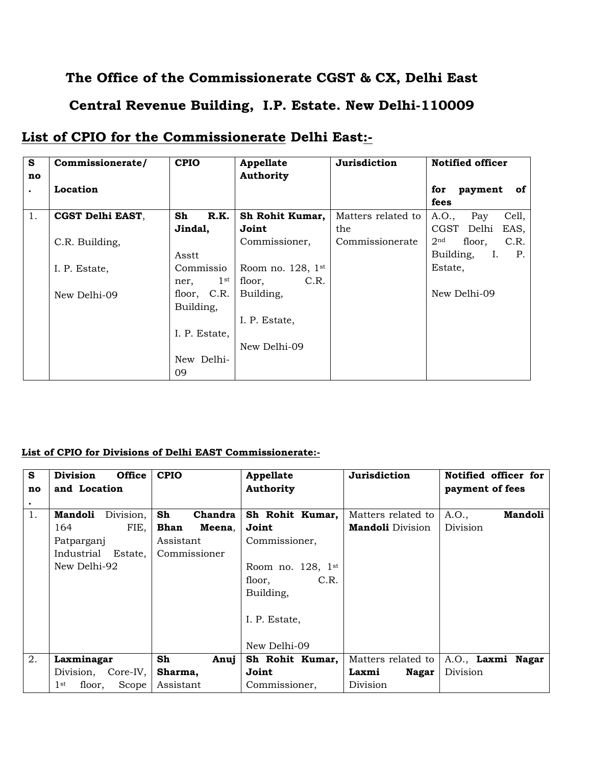## **The Office of the Commissionerate CGST & CX, Delhi East**

## **Central Revenue Building, I.P. Estate. New Delhi-110009**

## **List of CPIO for the Commissionerate Delhi East:-**

| S         | Commissionerate/ | <b>CPIO</b>          | Appellate              | Jurisdiction       | <b>Notified officer</b>           |
|-----------|------------------|----------------------|------------------------|--------------------|-----------------------------------|
| no        |                  |                      | <b>Authority</b>       |                    |                                   |
| $\bullet$ | Location         |                      |                        |                    | payment<br>for<br>of              |
|           |                  |                      |                        |                    | fees                              |
| 1.        | CGST Delhi EAST, | Sh<br>R.K.           | Sh Rohit Kumar,        | Matters related to | A.O.,<br>Cell,<br>Pay             |
|           |                  | Jindal,              | Joint                  | the                | CGST Delhi<br>EAS,                |
|           | C.R. Building,   |                      | Commissioner,          | Commissionerate    | floor,<br>C.R.<br>2 <sup>nd</sup> |
|           |                  | Asstt                |                        |                    | Building,<br>Ι.<br>P.             |
|           | I. P. Estate,    | Commissio            | Room no. $128$ , $1st$ |                    | Estate,                           |
|           |                  | $1^{\rm st}$<br>ner, | C.R.<br>floor,         |                    |                                   |
|           | New Delhi-09     | floor, C.R.          | Building,              |                    | New Delhi-09                      |
|           |                  | Building,            |                        |                    |                                   |
|           |                  |                      | I. P. Estate,          |                    |                                   |
|           |                  | I. P. Estate,        |                        |                    |                                   |
|           |                  |                      | New Delhi-09           |                    |                                   |
|           |                  | New Delhi-           |                        |                    |                                   |
|           |                  | 09                   |                        |                    |                                   |

## **List of CPIO for Divisions of Delhi EAST Commissionerate:-**

| S  | <b>Division</b><br><b>Office</b>   | <b>CPIO</b>    | Appellate              | Jurisdiction            | Notified officer for    |
|----|------------------------------------|----------------|------------------------|-------------------------|-------------------------|
| no | and Location                       |                | <b>Authority</b>       |                         | payment of fees         |
| ٠  |                                    |                |                        |                         |                         |
| 1. | Division,<br>Mandoli               | Sh<br>Chandra  | Sh Rohit Kumar,        | Matters related to      | <b>Mandoli</b><br>A.O., |
|    | FIE,<br>164                        | Bhan<br>Meena. | Joint                  | <b>Mandoli</b> Division | Division                |
|    | Patparganj                         | Assistant      | Commissioner,          |                         |                         |
|    | Industrial Estate,                 | Commissioner   |                        |                         |                         |
|    | New Delhi-92                       |                | Room no. $128$ , $1st$ |                         |                         |
|    |                                    |                | C.R.<br>floor,         |                         |                         |
|    |                                    |                | Building,              |                         |                         |
|    |                                    |                | I. P. Estate,          |                         |                         |
|    |                                    |                |                        |                         |                         |
|    |                                    |                | New Delhi-09           |                         |                         |
| 2. | Laxminagar                         | Sh<br>Anuj     | Sh Rohit Kumar,        | Matters related to      | A.O., Laxmi Nagar       |
|    | Division, Core-IV,                 | Sharma,        | Joint                  | Laxmi<br><b>Nagar</b>   | Division                |
|    | 1 <sup>st</sup><br>Scope<br>floor, | Assistant      | Commissioner,          | Division                |                         |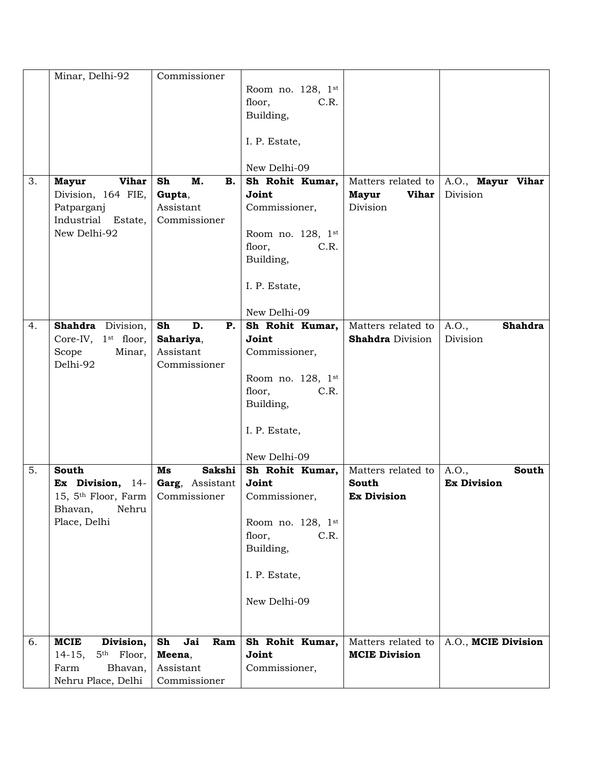|    | Minar, Delhi-92                    | Commissioner              |                   |                              |                         |
|----|------------------------------------|---------------------------|-------------------|------------------------------|-------------------------|
|    |                                    |                           | Room no. 128, 1st |                              |                         |
|    |                                    |                           | floor,<br>C.R.    |                              |                         |
|    |                                    |                           | Building,         |                              |                         |
|    |                                    |                           |                   |                              |                         |
|    |                                    |                           | I. P. Estate,     |                              |                         |
|    |                                    |                           | New Delhi-09      |                              |                         |
| 3. | <b>Vihar</b><br><b>Mayur</b>       | M.<br>Sh<br>В.            | Sh Rohit Kumar,   | Matters related to           | A.O., Mayur Vihar       |
|    | Division, 164 FIE,                 | Gupta,                    | Joint             | <b>Mayur</b><br><b>Vihar</b> | Division                |
|    | Patparganj<br>Industrial Estate,   | Assistant<br>Commissioner | Commissioner,     | Division                     |                         |
|    | New Delhi-92                       |                           | Room no. 128, 1st |                              |                         |
|    |                                    |                           | floor,<br>C.R.    |                              |                         |
|    |                                    |                           | Building,         |                              |                         |
|    |                                    |                           |                   |                              |                         |
|    |                                    |                           | I. P. Estate,     |                              |                         |
|    |                                    |                           | New Delhi-09      |                              |                         |
| 4. | Shahdra Division,                  | D.<br>Sh<br>Ρ.            | Sh Rohit Kumar,   | Matters related to           | A.O.,<br><b>Shahdra</b> |
|    | Core-IV, 1 <sup>st</sup> floor,    | Sahariya,                 | Joint             | <b>Shahdra</b> Division      | Division                |
|    | Scope<br>Minar,                    | Assistant                 | Commissioner,     |                              |                         |
|    | Delhi-92                           | Commissioner              |                   |                              |                         |
|    |                                    |                           | Room no. 128, 1st |                              |                         |
|    |                                    |                           | floor,<br>C.R.    |                              |                         |
|    |                                    |                           | Building,         |                              |                         |
|    |                                    |                           |                   |                              |                         |
|    |                                    |                           | I. P. Estate,     |                              |                         |
|    |                                    |                           | New Delhi-09      |                              |                         |
| 5. | South                              | Sakshi<br>Ms              | Sh Rohit Kumar,   | Matters related to           | A.O.,<br>South          |
|    | Ex Division, 14-                   | Garg, Assistant           | Joint             | South                        | <b>Ex Division</b>      |
|    | 15, 5 <sup>th</sup> Floor, Farm    | Commissioner              | Commissioner,     | <b>Ex Division</b>           |                         |
|    | Nehru<br>Bhavan,                   |                           |                   |                              |                         |
|    | Place, Delhi                       |                           | Room no. 128, 1st |                              |                         |
|    |                                    |                           | floor,<br>C.R.    |                              |                         |
|    |                                    |                           | Building,         |                              |                         |
|    |                                    |                           | I. P. Estate,     |                              |                         |
|    |                                    |                           |                   |                              |                         |
|    |                                    |                           | New Delhi-09      |                              |                         |
|    |                                    |                           |                   |                              |                         |
|    |                                    |                           |                   |                              |                         |
| 6. | <b>MCIE</b><br>Division,           | Sh<br>Jai<br>Ram          | Sh Rohit Kumar,   | Matters related to           | A.O., MCIE Division     |
|    | $14-15,$<br>5 <sup>th</sup> Floor, | Meena,                    | Joint             | <b>MCIE Division</b>         |                         |
|    | Farm<br>Bhavan,                    | Assistant                 | Commissioner,     |                              |                         |
|    | Nehru Place, Delhi                 | Commissioner              |                   |                              |                         |